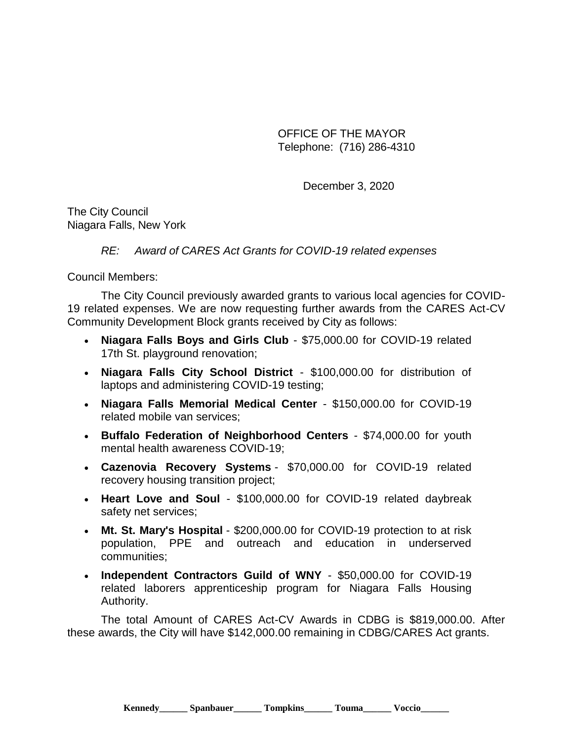OFFICE OF THE MAYOR Telephone: (716) 286-4310

December 3, 2020

The City Council Niagara Falls, New York

*RE: Award of CARES Act Grants for COVID-19 related expenses*

Council Members:

The City Council previously awarded grants to various local agencies for COVID-19 related expenses. We are now requesting further awards from the CARES Act-CV Community Development Block grants received by City as follows:

- **Niagara Falls Boys and Girls Club**  \$75,000.00 for COVID-19 related 17th St. playground renovation;
- **Niagara Falls City School District**  \$100,000.00 for distribution of laptops and administering COVID-19 testing;
- **Niagara Falls Memorial Medical Center**  \$150,000.00 for COVID-19 related mobile van services;
- **Buffalo Federation of Neighborhood Centers** \$74,000.00 for youth mental health awareness COVID-19;
- **Cazenovia Recovery Systems** \$70,000.00 for COVID-19 related recovery housing transition project;
- **Heart Love and Soul** \$100,000.00 for COVID-19 related daybreak safety net services;
- **Mt. St. Mary's Hospital** \$200,000.00 for COVID-19 protection to at risk population, PPE and outreach and education in underserved communities;
- **Independent Contractors Guild of WNY** \$50,000.00 for COVID-19 related laborers apprenticeship program for Niagara Falls Housing Authority.

The total Amount of CARES Act-CV Awards in CDBG is \$819,000.00. After these awards, the City will have \$142,000.00 remaining in CDBG/CARES Act grants.

**Kennedy\_\_\_\_\_\_ Spanbauer\_\_\_\_\_\_ Tompkins\_\_\_\_\_\_ Touma\_\_\_\_\_\_ Voccio\_\_\_\_\_\_**